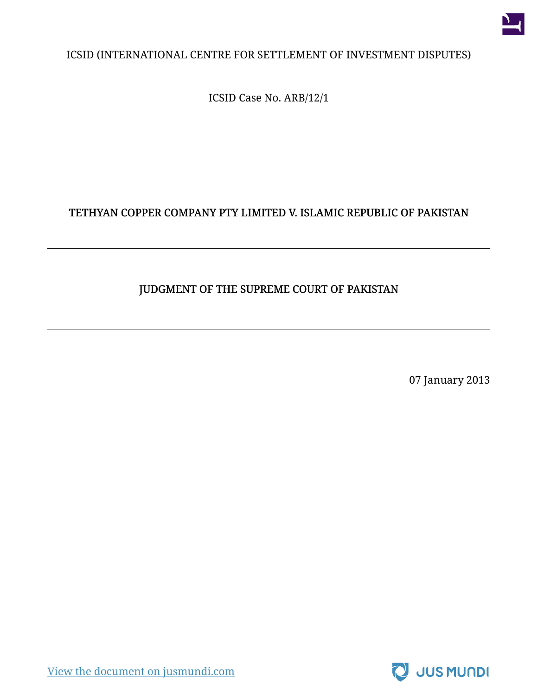

#### ICSID (INTERNATIONAL CENTRE FOR SETTLEMENT OF INVESTMENT DISPUTES)

ICSID Case No. ARB/12/1

## TETHYAN COPPER COMPANY PTY LIMITED V. ISLAMIC REPUBLIC OF PAKISTAN

#### JUDGMENT OF THE SUPREME COURT OF PAKISTAN

07 January 2013



[View the document on jusmundi.com](https://jusmundi.com/en/document/decision/en-tethyan-copper-company-pty-limited-v-islamic-republic-of-pakistan-judgment-of-the-supreme-court-of-pakistan-monday-7th-january-2013)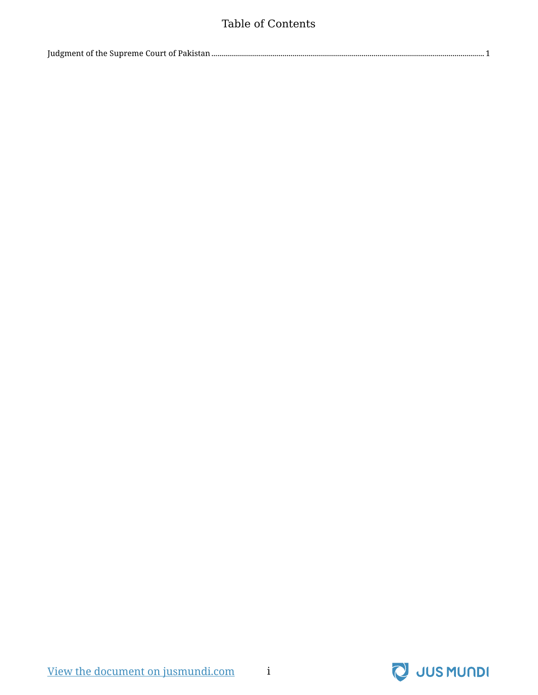### Table of Contents

|--|

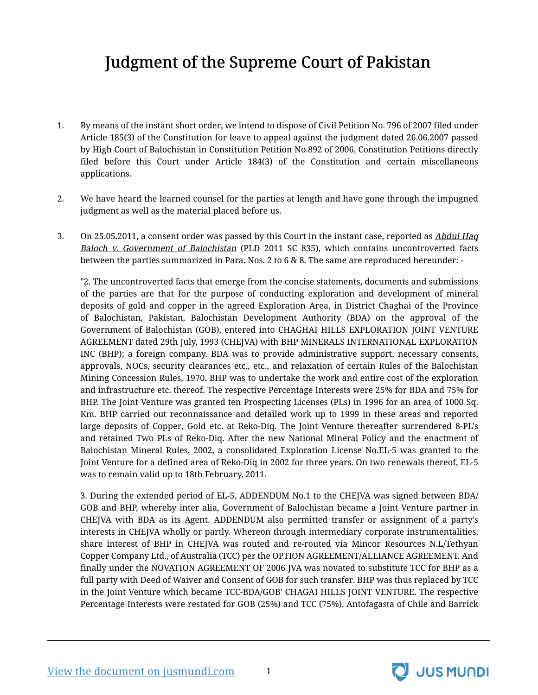# Judgment of the Supreme Court of Pakistan

- <span id="page-2-0"></span>1. By means of the instant short order, we intend to dispose of Civil Petition No. 796 of 2007 filed under Article 185(3) of the Constitution for leave to appeal against the judgment dated 26.06.2007 passed by High Court of Balochistan in Constitution Petition No.892 of 2006, Constitution Petitions directly filed before this Court under Article 184(3) of the Constitution and certain miscellaneous applications.
- 2. We have heard the learned counsel for the parties at length and have gone through the impugned judgment as well as the material placed before us.
- 3. On 25.05.2011, a consent order was passed by this Court in the instant case, reported as *Abdul Haq* Baloch v. Government of Balochistan (PLD 2011 SC 835), which contains uncontroverted facts between the parties summarized in Para. Nos. 2 to 6 & 8. The same are reproduced hereunder: -

"2. The uncontroverted facts that emerge from the concise statements, documents and submissions of the parties are that for the purpose of conducting exploration and development of mineral deposits of gold and copper in the agreed Exploration Area, in District Chaghai of the Province of Balochistan, Pakistan, Balochistan Development Authority (BDA) on the approval of the Government of Balochistan (GOB), entered into CHAGHAI HILLS EXPLORATION JOINT VENTURE AGREEMENT dated 29th July, 1993 (CHEJVA) with BHP MINERALS INTERNATIONAL EXPLORATION INC (BHP); a foreign company. BDA was to provide administrative support, necessary consents, approvals, NOCs, security clearances etc., etc., and relaxation of certain Rules of the Balochistan Mining Concession Rules, 1970. BHP was to undertake the work and entire cost of the exploration and infrastructure etc. thereof. The respective Percentage Interests were 25% for BDA and 75% for BHP. The Joint Venture was granted ten Prospecting Licenses (PLs) in 1996 for an area of 1000 Sq. Km. BHP carried out reconnaissance and detailed work up to 1999 in these areas and reported large deposits of Copper, Gold etc. at Reko-Diq. The Joint Venture thereafter surrendered 8-PL's and retained Two PLs of Reko-Diq. After the new National Mineral Policy and the enactment of Balochistan Mineral Rules, 2002, a consolidated Exploration License No.EL-5 was granted to the Joint Venture for a defined area of Reko-Diq in 2002 for three years. On two renewals thereof, EL-5 was to remain valid up to 18th February, 2011.

3. During the extended period of EL-5, ADDENDUM No.1 to the CHEJVA was signed between BDA/ GOB and BHP, whereby inter alia, Government of Balochistan became a Joint Venture partner in CHEJVA with BDA as its Agent. ADDENDUM also permitted transfer or assignment of a party's interests in CHEJVA wholly or partly. Whereon through intermediary corporate instrumentalities, share interest of BHP in CHEJVA was routed and re-routed via Mincor Resources N.L/Tethyan Copper Company Ltd., of Australia (TCC) per the OPTION AGREEMENT/ALLIANCE AGREEMENT. And finally under the NOVATION AGREEMENT OF 2006 JVA was novated to substitute TCC for BHP as a full party with Deed of Waiver and Consent of GOB for such transfer. BHP was thus replaced by TCC in the Joint Venture which became TCC-BDA/GOB' CHAGAI HILLS JOINT VENTURE. The respective Percentage Interests were restated for GOB (25%) and TCC (75%). Antofagasta of Chile and Barrick



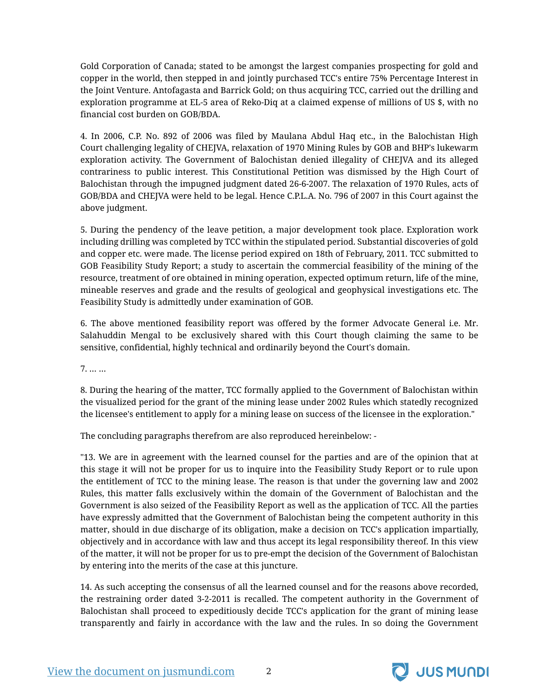Gold Corporation of Canada; stated to be amongst the largest companies prospecting for gold and copper in the world, then stepped in and jointly purchased TCC's entire 75% Percentage Interest in the Joint Venture. Antofagasta and Barrick Gold; on thus acquiring TCC, carried out the drilling and exploration programme at EL-5 area of Reko-Diq at a claimed expense of millions of US \$, with no financial cost burden on GOB/BDA.

4. In 2006, C.P. No. 892 of 2006 was filed by Maulana Abdul Haq etc., in the Balochistan High Court challenging legality of CHEJVA, relaxation of 1970 Mining Rules by GOB and BHP's lukewarm exploration activity. The Government of Balochistan denied illegality of CHEJVA and its alleged contrariness to public interest. This Constitutional Petition was dismissed by the High Court of Balochistan through the impugned judgment dated 26-6-2007. The relaxation of 1970 Rules, acts of GOB/BDA and CHEJVA were held to be legal. Hence C.P.L.A. No. 796 of 2007 in this Court against the above judgment.

5. During the pendency of the leave petition, a major development took place. Exploration work including drilling was completed by TCC within the stipulated period. Substantial discoveries of gold and copper etc. were made. The license period expired on 18th of February, 2011. TCC submitted to GOB Feasibility Study Report; a study to ascertain the commercial feasibility of the mining of the resource, treatment of ore obtained in mining operation, expected optimum return, life of the mine, mineable reserves and grade and the results of geological and geophysical investigations etc. The Feasibility Study is admittedly under examination of GOB.

6. The above mentioned feasibility report was offered by the former Advocate General i.e. Mr. Salahuddin Mengal to be exclusively shared with this Court though claiming the same to be sensitive, confidential, highly technical and ordinarily beyond the Court's domain.

7. … …

8. During the hearing of the matter, TCC formally applied to the Government of Balochistan within the visualized period for the grant of the mining lease under 2002 Rules which statedly recognized the licensee's entitlement to apply for a mining lease on success of the licensee in the exploration."

The concluding paragraphs therefrom are also reproduced hereinbelow: -

"13. We are in agreement with the learned counsel for the parties and are of the opinion that at this stage it will not be proper for us to inquire into the Feasibility Study Report or to rule upon the entitlement of TCC to the mining lease. The reason is that under the governing law and 2002 Rules, this matter falls exclusively within the domain of the Government of Balochistan and the Government is also seized of the Feasibility Report as well as the application of TCC. All the parties have expressly admitted that the Government of Balochistan being the competent authority in this matter, should in due discharge of its obligation, make a decision on TCC's application impartially, objectively and in accordance with law and thus accept its legal responsibility thereof. In this view of the matter, it will not be proper for us to pre-empt the decision of the Government of Balochistan by entering into the merits of the case at this juncture.

14. As such accepting the consensus of all the learned counsel and for the reasons above recorded, the restraining order dated 3-2-2011 is recalled. The competent authority in the Government of Balochistan shall proceed to expeditiously decide TCC's application for the grant of mining lease transparently and fairly in accordance with the law and the rules. In so doing the Government

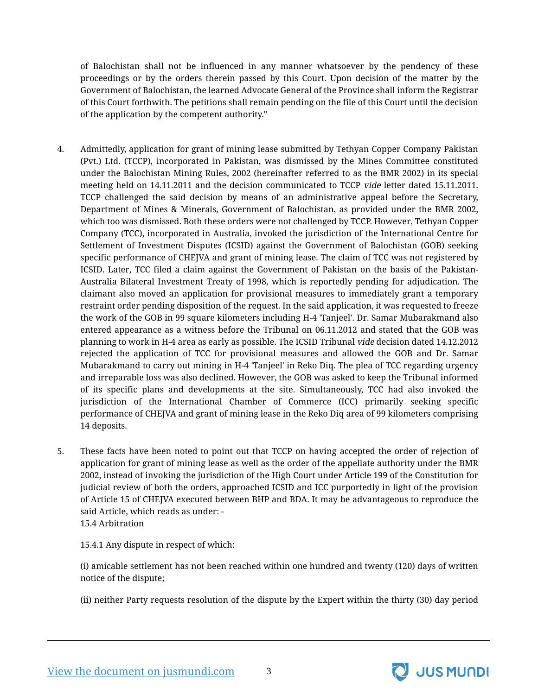of Balochistan shall not be influenced in any manner whatsoever by the pendency of these proceedings or by the orders therein passed by this Court. Upon decision of the matter by the Government of Balochistan, the learned Advocate General of the Province shall inform the Registrar of this Court forthwith. The petitions shall remain pending on the file of this Court until the decision of the application by the competent authority."

- 4. Admittedly, application for grant of mining lease submitted by Tethyan Copper Company Pakistan (Pvt.) Ltd. (TCCP), incorporated in Pakistan, was dismissed by the Mines Committee constituted under the Balochistan Mining Rules, 2002 (hereinafter referred to as the BMR 2002) in its special meeting held on 14.11.2011 and the decision communicated to TCCP vide letter dated 15.11.2011. TCCP challenged the said decision by means of an administrative appeal before the Secretary, Department of Mines & Minerals, Government of Balochistan, as provided under the BMR 2002, which too was dismissed. Both these orders were not challenged by TCCP. However, Tethyan Copper Company (TCC), incorporated in Australia, invoked the jurisdiction of the International Centre for Settlement of Investment Disputes (ICSID) against the Government of Balochistan (GOB) seeking specific performance of CHEJVA and grant of mining lease. The claim of TCC was not registered by ICSID. Later, TCC filed a claim against the Government of Pakistan on the basis of the Pakistan-Australia Bilateral Investment Treaty of 1998, which is reportedly pending for adjudication. The claimant also moved an application for provisional measures to immediately grant a temporary restraint order pending disposition of the request. In the said application, it was requested to freeze the work of the GOB in 99 square kilometers including H-4 'Tanjeel'. Dr. Samar Mubarakmand also entered appearance as a witness before the Tribunal on 06.11.2012 and stated that the GOB was planning to work in H-4 area as early as possible. The ICSID Tribunal vide decision dated 14.12.2012 rejected the application of TCC for provisional measures and allowed the GOB and Dr. Samar Mubarakmand to carry out mining in H-4 'Tanjeel' in Reko Diq. The plea of TCC regarding urgency and irreparable loss was also declined. However, the GOB was asked to keep the Tribunal informed of its specific plans and developments at the site. Simultaneously, TCC had also invoked the jurisdiction of the International Chamber of Commerce (ICC) primarily seeking specific performance of CHEJVA and grant of mining lease in the Reko Diq area of 99 kilometers comprising 14 deposits.
- 5. These facts have been noted to point out that TCCP on having accepted the order of rejection of application for grant of mining lease as well as the order of the appellate authority under the BMR 2002, instead of invoking the jurisdiction of the High Court under Article 199 of the Constitution for judicial review of both the orders, approached ICSID and ICC purportedly in light of the provision of Article 15 of CHEJVA executed between BHP and BDA. It may be advantageous to reproduce the said Article, which reads as under: -

15.4 Arbitration

15.4.1 Any dispute in respect of which:

(i) amicable settlement has not been reached within one hundred and twenty (120) days of written notice of the dispute;

(ii) neither Party requests resolution of the dispute by the Expert within the thirty (30) day period

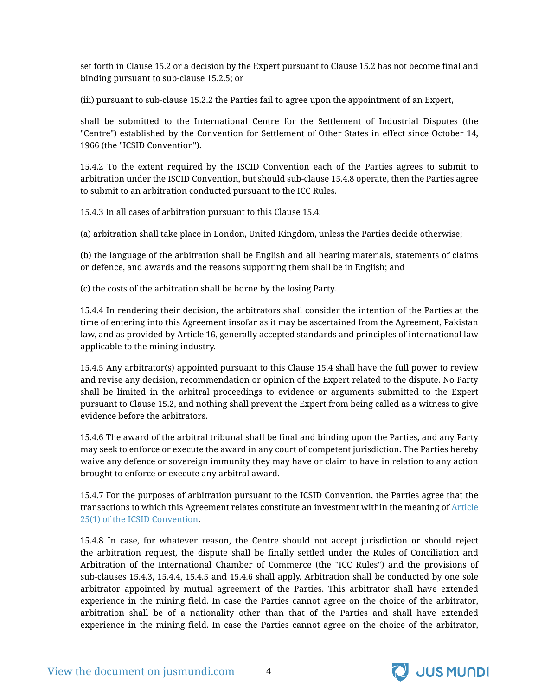set forth in Clause 15.2 or a decision by the Expert pursuant to Clause 15.2 has not become final and binding pursuant to sub-clause 15.2.5; or

(iii) pursuant to sub-clause 15.2.2 the Parties fail to agree upon the appointment of an Expert,

shall be submitted to the International Centre for the Settlement of Industrial Disputes (the "Centre") established by the Convention for Settlement of Other States in effect since October 14, 1966 (the "ICSID Convention").

15.4.2 To the extent required by the ISCID Convention each of the Parties agrees to submit to arbitration under the ISCID Convention, but should sub-clause 15.4.8 operate, then the Parties agree to submit to an arbitration conducted pursuant to the ICC Rules.

15.4.3 In all cases of arbitration pursuant to this Clause 15.4:

(a) arbitration shall take place in London, United Kingdom, unless the Parties decide otherwise;

(b) the language of the arbitration shall be English and all hearing materials, statements of claims or defence, and awards and the reasons supporting them shall be in English; and

(c) the costs of the arbitration shall be borne by the losing Party.

15.4.4 In rendering their decision, the arbitrators shall consider the intention of the Parties at the time of entering into this Agreement insofar as it may be ascertained from the Agreement, Pakistan law, and as provided by Article 16, generally accepted standards and principles of international law applicable to the mining industry.

15.4.5 Any arbitrator(s) appointed pursuant to this Clause 15.4 shall have the full power to review and revise any decision, recommendation or opinion of the Expert related to the dispute. No Party shall be limited in the arbitral proceedings to evidence or arguments submitted to the Expert pursuant to Clause 15.2, and nothing shall prevent the Expert from being called as a witness to give evidence before the arbitrators.

15.4.6 The award of the arbitral tribunal shall be final and binding upon the Parties, and any Party may seek to enforce or execute the award in any court of competent jurisdiction. The Parties hereby waive any defence or sovereign immunity they may have or claim to have in relation to any action brought to enforce or execute any arbitral award.

15.4.7 For the purposes of arbitration pursuant to the ICSID Convention, the Parties agree that the transactions to which this Agreement relates constitute an investment within the meaning of [Article](https://jusmundi.com/en/document/h/S2VVN09EOGhRRHg0SlZ3SS9qUjlwSUhxOWpSbTk0ZGxsOTFuVUV3TlRXRzdrWGQyOWVoOUU0WjNBM2sxaGo0NWZ1RWpXU01heVNtdmxZZGJZRnc1dFJFMHlTYlBrTzFZbHFsK1Q5aHljTlowZUFWeHp6d1NxU0JqVXlid0dDQUo2TFlxOXJvenRhU1lvRHdFSXdtclVZdWozWS81bXZUL2JnelpFa0krdzRFRjBOUmZiRzFmb2h4d0NjWVdyN2lmejIwdEViUGRSSTY3c0JBMWRCNGExOEY5U0hON2lOM0FKQlAzNE9Fd2s4QT0=) [25\(1\) of the ICSID Convention.](https://jusmundi.com/en/document/h/S2VVN09EOGhRRHg0SlZ3SS9qUjlwSUhxOWpSbTk0ZGxsOTFuVUV3TlRXRzdrWGQyOWVoOUU0WjNBM2sxaGo0NWZ1RWpXU01heVNtdmxZZGJZRnc1dFJFMHlTYlBrTzFZbHFsK1Q5aHljTlowZUFWeHp6d1NxU0JqVXlid0dDQUo2TFlxOXJvenRhU1lvRHdFSXdtclVZdWozWS81bXZUL2JnelpFa0krdzRFRjBOUmZiRzFmb2h4d0NjWVdyN2lmejIwdEViUGRSSTY3c0JBMWRCNGExOEY5U0hON2lOM0FKQlAzNE9Fd2s4QT0=)

15.4.8 In case, for whatever reason, the Centre should not accept jurisdiction or should reject the arbitration request, the dispute shall be finally settled under the Rules of Conciliation and Arbitration of the International Chamber of Commerce (the "ICC Rules") and the provisions of sub-clauses 15.4.3, 15.4.4, 15.4.5 and 15.4.6 shall apply. Arbitration shall be conducted by one sole arbitrator appointed by mutual agreement of the Parties. This arbitrator shall have extended experience in the mining field. In case the Parties cannot agree on the choice of the arbitrator, arbitration shall be of a nationality other than that of the Parties and shall have extended experience in the mining field. In case the Parties cannot agree on the choice of the arbitrator,

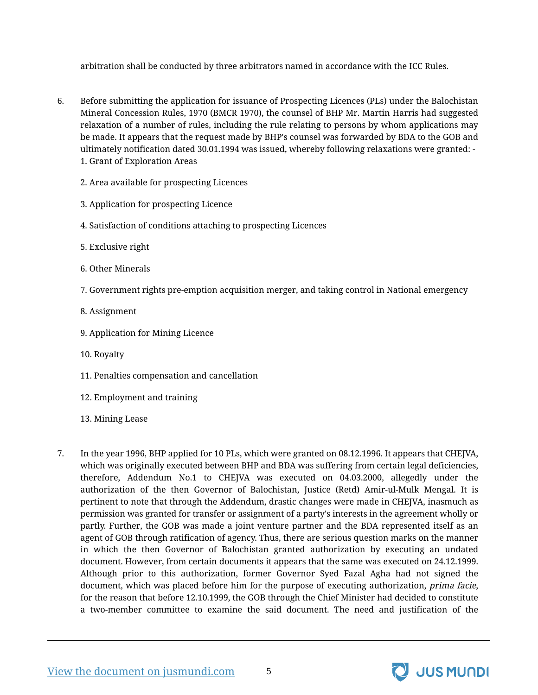arbitration shall be conducted by three arbitrators named in accordance with the ICC Rules.

- 6. Before submitting the application for issuance of Prospecting Licences (PLs) under the Balochistan Mineral Concession Rules, 1970 (BMCR 1970), the counsel of BHP Mr. Martin Harris had suggested relaxation of a number of rules, including the rule relating to persons by whom applications may be made. It appears that the request made by BHP's counsel was forwarded by BDA to the GOB and ultimately notification dated 30.01.1994 was issued, whereby following relaxations were granted: - 1. Grant of Exploration Areas
	- 2. Area available for prospecting Licences
	- 3. Application for prospecting Licence
	- 4. Satisfaction of conditions attaching to prospecting Licences
	- 5. Exclusive right
	- 6. Other Minerals
	- 7. Government rights pre-emption acquisition merger, and taking control in National emergency
	- 8. Assignment
	- 9. Application for Mining Licence
	- 10. Royalty
	- 11. Penalties compensation and cancellation
	- 12. Employment and training
	- 13. Mining Lease
- 7. In the year 1996, BHP applied for 10 PLs, which were granted on 08.12.1996. It appears that CHEJVA, which was originally executed between BHP and BDA was suffering from certain legal deficiencies, therefore, Addendum No.1 to CHEJVA was executed on 04.03.2000, allegedly under the authorization of the then Governor of Balochistan, Justice (Retd) Amir-ul-Mulk Mengal. It is pertinent to note that through the Addendum, drastic changes were made in CHEJVA, inasmuch as permission was granted for transfer or assignment of a party's interests in the agreement wholly or partly. Further, the GOB was made a joint venture partner and the BDA represented itself as an agent of GOB through ratification of agency. Thus, there are serious question marks on the manner in which the then Governor of Balochistan granted authorization by executing an undated document. However, from certain documents it appears that the same was executed on 24.12.1999. Although prior to this authorization, former Governor Syed Fazal Agha had not signed the document, which was placed before him for the purpose of executing authorization, *prima facie*, for the reason that before 12.10.1999, the GOB through the Chief Minister had decided to constitute a two-member committee to examine the said document. The need and justification of the



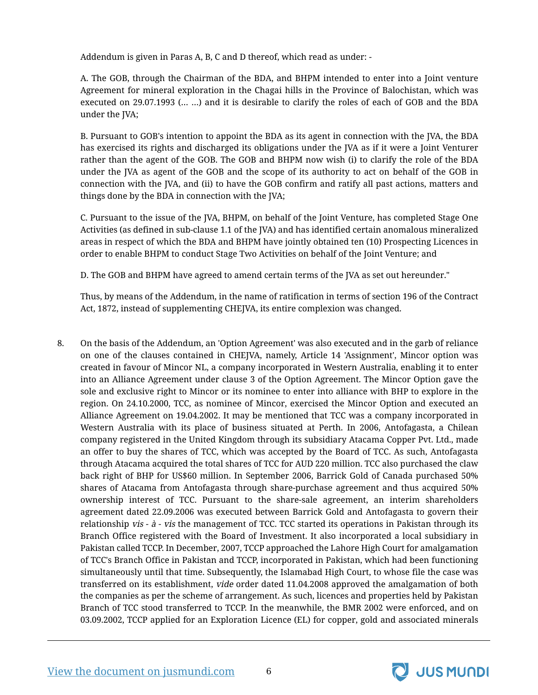Addendum is given in Paras A, B, C and D thereof, which read as under: -

A. The GOB, through the Chairman of the BDA, and BHPM intended to enter into a Joint venture Agreement for mineral exploration in the Chagai hills in the Province of Balochistan, which was executed on 29.07.1993 (… …) and it is desirable to clarify the roles of each of GOB and the BDA under the JVA;

B. Pursuant to GOB's intention to appoint the BDA as its agent in connection with the JVA, the BDA has exercised its rights and discharged its obligations under the JVA as if it were a Joint Venturer rather than the agent of the GOB. The GOB and BHPM now wish (i) to clarify the role of the BDA under the JVA as agent of the GOB and the scope of its authority to act on behalf of the GOB in connection with the JVA, and (ii) to have the GOB confirm and ratify all past actions, matters and things done by the BDA in connection with the JVA;

C. Pursuant to the issue of the JVA, BHPM, on behalf of the Joint Venture, has completed Stage One Activities (as defined in sub-clause 1.1 of the JVA) and has identified certain anomalous mineralized areas in respect of which the BDA and BHPM have jointly obtained ten (10) Prospecting Licences in order to enable BHPM to conduct Stage Two Activities on behalf of the Joint Venture; and

D. The GOB and BHPM have agreed to amend certain terms of the JVA as set out hereunder."

Thus, by means of the Addendum, in the name of ratification in terms of section 196 of the Contract Act, 1872, instead of supplementing CHEJVA, its entire complexion was changed.

8. On the basis of the Addendum, an 'Option Agreement' was also executed and in the garb of reliance on one of the clauses contained in CHEJVA, namely, Article 14 'Assignment', Mincor option was created in favour of Mincor NL, a company incorporated in Western Australia, enabling it to enter into an Alliance Agreement under clause 3 of the Option Agreement. The Mincor Option gave the sole and exclusive right to Mincor or its nominee to enter into alliance with BHP to explore in the region. On 24.10.2000, TCC, as nominee of Mincor, exercised the Mincor Option and executed an Alliance Agreement on 19.04.2002. It may be mentioned that TCC was a company incorporated in Western Australia with its place of business situated at Perth. In 2006, Antofagasta, a Chilean company registered in the United Kingdom through its subsidiary Atacama Copper Pvt. Ltd., made an offer to buy the shares of TCC, which was accepted by the Board of TCC. As such, Antofagasta through Atacama acquired the total shares of TCC for AUD 220 million. TCC also purchased the claw back right of BHP for US\$60 million. In September 2006, Barrick Gold of Canada purchased 50% shares of Atacama from Antofagasta through share-purchase agreement and thus acquired 50% ownership interest of TCC. Pursuant to the share-sale agreement, an interim shareholders agreement dated 22.09.2006 was executed between Barrick Gold and Antofagasta to govern their relationship vis -  $\dot{a}$  - vis the management of TCC. TCC started its operations in Pakistan through its Branch Office registered with the Board of Investment. It also incorporated a local subsidiary in Pakistan called TCCP. In December, 2007, TCCP approached the Lahore High Court for amalgamation of TCC's Branch Office in Pakistan and TCCP, incorporated in Pakistan, which had been functioning simultaneously until that time. Subsequently, the Islamabad High Court, to whose file the case was transferred on its establishment, vide order dated 11.04.2008 approved the amalgamation of both the companies as per the scheme of arrangement. As such, licences and properties held by Pakistan Branch of TCC stood transferred to TCCP. In the meanwhile, the BMR 2002 were enforced, and on 03.09.2002, TCCP applied for an Exploration Licence (EL) for copper, gold and associated minerals

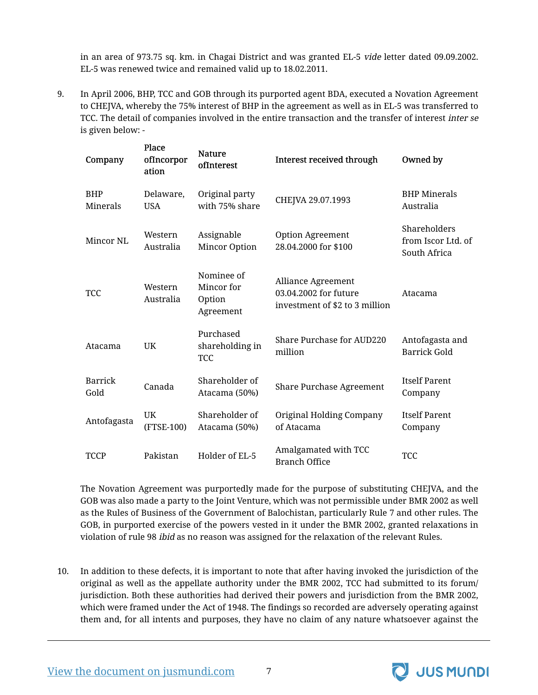in an area of 973.75 sq. km. in Chagai District and was granted EL-5 vide letter dated 09.09.2002. EL-5 was renewed twice and remained valid up to 18.02.2011.

9. In April 2006, BHP, TCC and GOB through its purported agent BDA, executed a Novation Agreement to CHEJVA, whereby the 75% interest of BHP in the agreement as well as in EL-5 was transferred to TCC. The detail of companies involved in the entire transaction and the transfer of interest inter se is given below: -

| Company                | Place<br>ofIncorpor<br>ation | <b>Nature</b><br>ofInterest                     | Interest received through                                                     | Owned by                                           |
|------------------------|------------------------------|-------------------------------------------------|-------------------------------------------------------------------------------|----------------------------------------------------|
| <b>BHP</b><br>Minerals | Delaware,<br><b>USA</b>      | Original party<br>with 75% share                | CHEJVA 29.07.1993                                                             | <b>BHP</b> Minerals<br>Australia                   |
| Mincor NL              | Western<br>Australia         | Assignable<br>Mincor Option                     | <b>Option Agreement</b><br>28.04.2000 for \$100                               | Shareholders<br>from Iscor Ltd. of<br>South Africa |
| <b>TCC</b>             | Western<br>Australia         | Nominee of<br>Mincor for<br>Option<br>Agreement | Alliance Agreement<br>03.04.2002 for future<br>investment of \$2 to 3 million | Atacama                                            |
| Atacama                | UK                           | Purchased<br>shareholding in<br><b>TCC</b>      | Share Purchase for AUD220<br>million                                          | Antofagasta and<br><b>Barrick Gold</b>             |
| <b>Barrick</b><br>Gold | Canada                       | Shareholder of<br>Atacama (50%)                 | Share Purchase Agreement                                                      | <b>Itself Parent</b><br>Company                    |
| Antofagasta            | UK<br>(FTSE-100)             | Shareholder of<br>Atacama (50%)                 | Original Holding Company<br>of Atacama                                        | <b>Itself Parent</b><br>Company                    |
| <b>TCCP</b>            | Pakistan                     | Holder of EL-5                                  | Amalgamated with TCC<br><b>Branch Office</b>                                  | <b>TCC</b>                                         |

The Novation Agreement was purportedly made for the purpose of substituting CHEJVA, and the GOB was also made a party to the Joint Venture, which was not permissible under BMR 2002 as well as the Rules of Business of the Government of Balochistan, particularly Rule 7 and other rules. The GOB, in purported exercise of the powers vested in it under the BMR 2002, granted relaxations in violation of rule 98 ibid as no reason was assigned for the relaxation of the relevant Rules.

10. In addition to these defects, it is important to note that after having invoked the jurisdiction of the original as well as the appellate authority under the BMR 2002, TCC had submitted to its forum/ jurisdiction. Both these authorities had derived their powers and jurisdiction from the BMR 2002, which were framed under the Act of 1948. The findings so recorded are adversely operating against them and, for all intents and purposes, they have no claim of any nature whatsoever against the